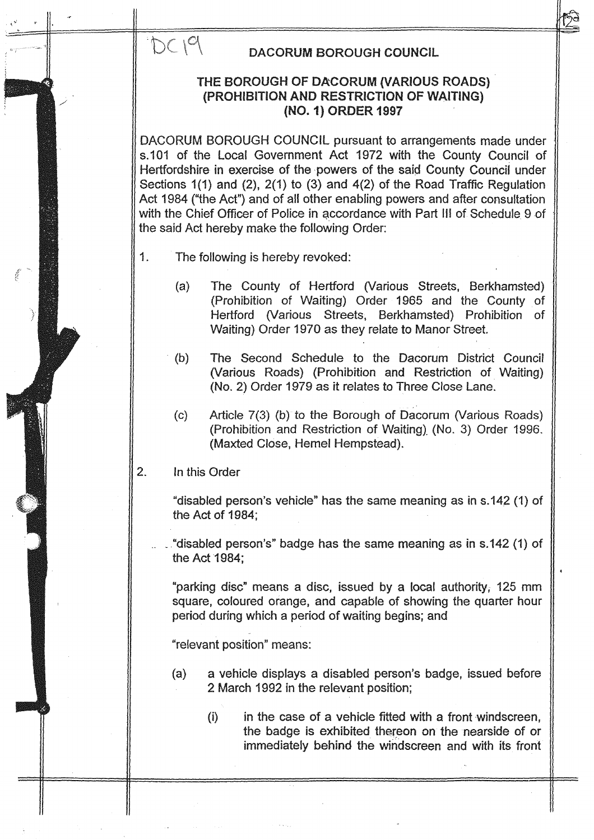# DC19

# DACORUM BOROUGH COUNCIL

# THE BOROUGH OF DACORUM (VARIOUS ROADS) (PROHIBITION AND RESTRICTION OF WAITING) (NO. 1) ORDER 1997

DACORUM BOROUGH COUNCIL pursuant to arrangements made under s.101 of the Local Government Act 1972 with the County Council of Hertfordshire in exercise of the powers of the said County Council under Sections  $1(1)$  and  $(2)$ ,  $2(1)$  to  $(3)$  and  $4(2)$  of the Road Traffic Regulation Act 1984 ("the Act") and of all other enabling powers and after consultation with the Chief Officer of Police in accordance with Part III of Schedule 9 of the said Act hereby make the following Order:

- 1. The following is hereby revoked:
	- (a) The County of Hertford (Various Streets, Berkhamsted) (Prohibition of Waiting) Order 1965 and the County of Hertford (Various Streets, Berkhamsted) Prohibition of Waiting) Order 1970 as they relate to Manor Street.
	- (b) The Second Schedule to the Dacorum District Council (Various Roads) (Prohibition and Restriction of Waiting) (No. 2) Order 1979 as it relates to Three Close Lane.
	- (c) Article 7(3) (b) to the Borough of Dacorum (Various Roads) (Prohibition and Restriction of Waiting) (No. 3) Order 1996. (Maxted Close, Hemel Hempstead).

#### $2.$ In this Order

"disabled person's vehicle" has the same meaning as in <sup>s</sup> .142 (1) of the Act of 1984;

"disabled person's" badge has the same meaning as in s.142 (1) of the Act 1984;

"parking disc" means <sup>a</sup> disc, issued by <sup>a</sup> local authority, <sup>125</sup> mm square, coloured orange, and capable of showing the quarter hour period during which a period of waiting begins; and

"relevant position" means:

2 March 1992 in the relevant position; (a) a vehicle displays a disabled person's badge, issued before

(i) in the case of a vehicle fitted with a front windscreen, the badge is exhibited thereon on the nearside of or immediately behind the windscreen and with its front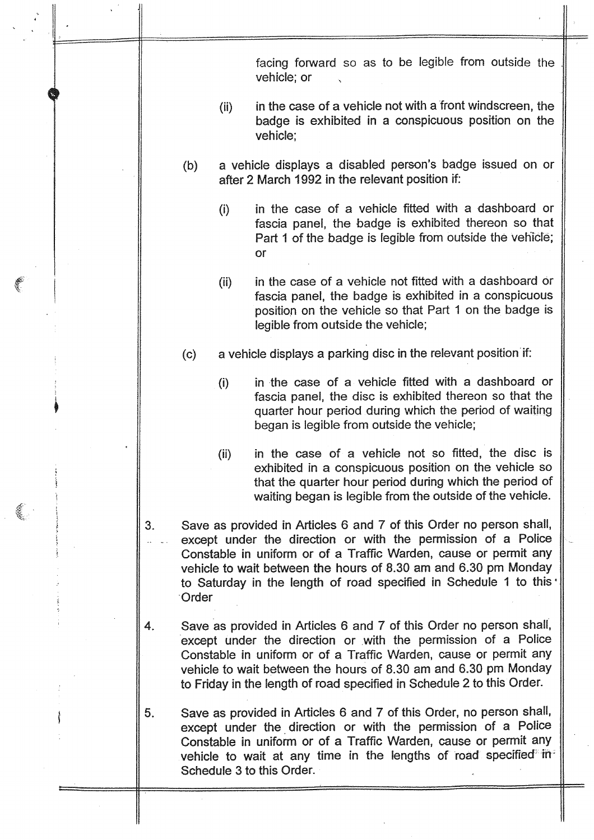facing forward so as to be legible from outside the vehicle; or

- $(ii)$  in the case of a vehicle not with a front windscreen, the man case of a consideration and an interesting the badge is exhibited in a conspicuous position on the vehicle;
- (b) a vehicle displays a disabled person's badge issued on or after 2 March 1992 in the relevant position if.
	- in the case of a vehicle fitted with a dashboard or  $(i)$ fascia panel, the badge is exhibited thereon so that Part 1 of the badge is legible from outside the vehicle; or
	- (ii) in the case of a vehicle not fitted with a dashboard or fascia panel, the badge is exhibited in a conspicuous position on the vehicle so that Part <sup>1</sup> on the badge is legible from outside the vehicle;
- (c) a vehicle displays a parking disc in the relevant position if:
	- in the case of a vehicle fitted with a dashboard or  $(i)$ fascia panel, the disc is exhibited thereon so that the quarter hour period during which the period of waiting began is legible from outside the vehicle;
	- (ii) in the case of a vehicle not so fitted, the disc is exhibited in a conspicuous position on the vehicle so that the quarter hour period during which the period of waiting began is legible from the outside of the vehicle.
- 3. Save as provided in Artides 6 and 7 of this Order no person shall, except under the direction or with the permission of a Police Constable in uniform or of a Traffic Warden, cause or permit any vehicle to wait between the hours of 8.30 am and 6.30 pm Monday to Saturday in the length of road specified in Schedule 1 to this **Order**
- 4. Save as provided in Articles 6 and 7 of this Order no person shall, except under the direction or with the permission of a Police Constable in uniform or of a Traffic Warden, cause or permit any vehicle to wait between the hours of 8.30 am and 6.30 pm Monday to Friday in the length of road specified in Schedule 2 to this Order.
- <sup>5</sup> . Save as provided in Artides 6 and 7 of this Order, no person shall, except under the direction or with the permission of a Police ' Constable in uniform or of a Traffic Warden, cause or permit any vehicle to wait at any time in the lengths of road specified<sup>\*</sup> in-Schedule 3 to this Order.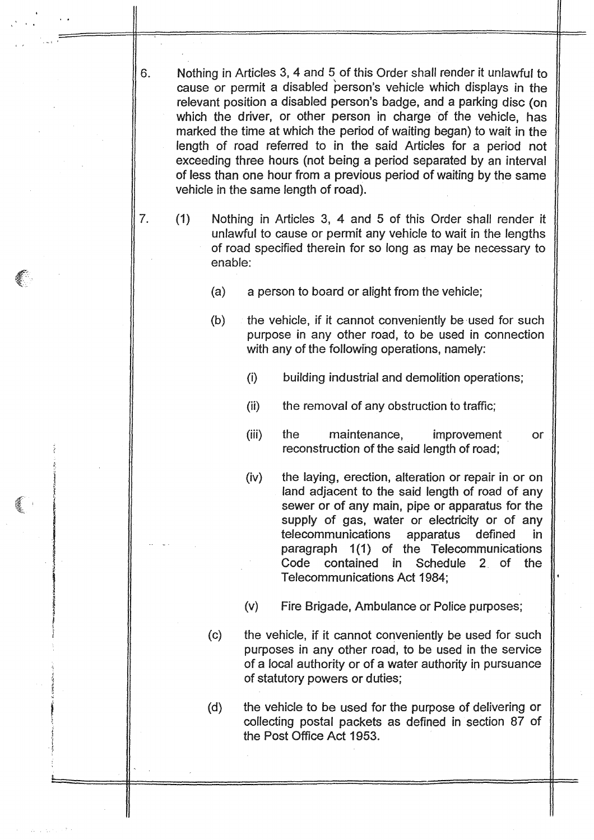Nothing in Articles 3, 4 and 5 of this Order shall render it unlawful to cause or permit a disabled person's vehicle which displays in the relevant position a disabled person's badge, and a parking disc (on which the driver, or other person in charge of the vehicle, has marked the time at which the period of waiting began) to wait in the length of road referred to in the said Articles for a period not exceeding three hours (not being a period separated by an interval of less than one hour from a previous period of wafting by the same vehicle in the same length of road).

6.

- 7. (1) Nothing in Articles 3, 4 and 5 of this Order shall render it unlawful to cause or permit any vehicle to wait in the lengths of road specified therein for so long as may be necessary to enable:
	- (a) a person to board or alight from the vehicle;
	- $(b)$  the vehicle, if it cannot conveniently be used for such purpose in any other road, to be used in connection with any of the following operations, namely:
		- $(i)$ building industrial and demolition operations;
		- (ii) the removal of any obstruction to traffic;
		- (iii) the maintenance, improvement **or** reconstruction of the said length of road;
		- (iv) the laying, erection, alteration or repair in or on land adjacent to the said length of road of any sewer or of any main, pipe or apparatus for the supply of gas, water or electricity or of any<br>telecommunications apparatus defined in telecommunications apparatus defined in paragraph 1(1) of the Telecommunications<br>Code contained in Schedule 2 of the contained in Telecommunications Act 1984;
		- $(v)$  Fire Brigade, Ambulance or Police purposes;
	- (c) the vehicle, if it cannot conveniently be used for such purposes in any other road, to be used in the service of a local authority or of a water authority in pursuance of statutory powers or duties;
	- (d) the vehicle to be used for the purpose of delivering or collecting postal packets as defined in section 87 of the Post Office Act 1953.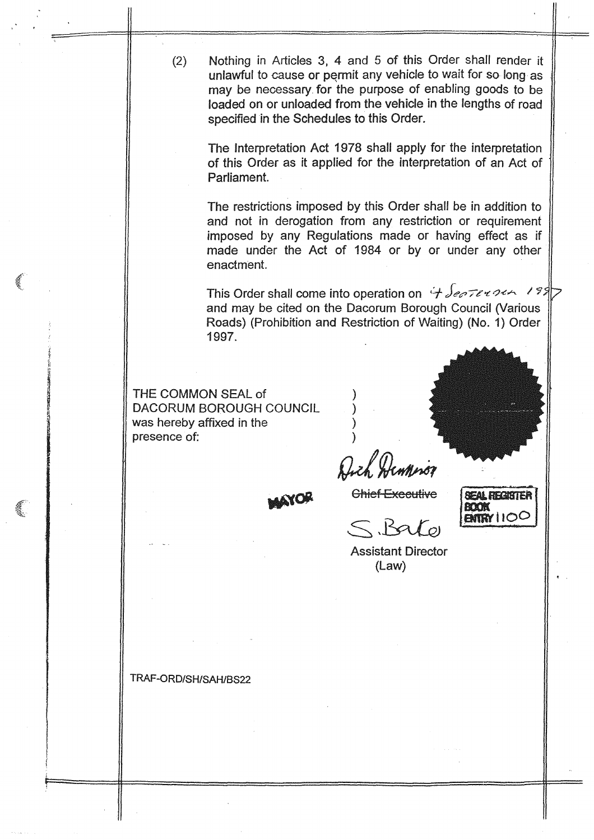Nothing in Articles 3, 4 and 5 of this Order shall render it  $(2)$ unlawful to cause or permit any vehicle to wait for so-long as may be necessary for the purpose of enabling goods to be loaded on or unloaded from the vehicle in the lengths of road specified in the Schedules to this Order.

The Interpretation Act 1978 shall apply for the interpretation of this Order as it applied for the interpretation of an Act of Parliament.

The restrictions imposed by this Order shall be in addition to and not in derogation from any restriction or requirement imposed by any Regulations made or having effect as if made under the Act of 1984 or by or under any other enactment.

This Order shall come into operation on  $\forall$  Sectionary 199 and may be cited on the Dacorum Borough Council (Various Roads) (Prohibition and Restriction of Waiting) (No. 1) Order 1997.

THE COMMON SEAL of DACORUM BOROUGH COUNCIL was hereby affixed in the presence of:

Dich Hennison **NOR** 

**Chief Executive SEAL REGISTER BOOK ENTRY 1100** 

Bato

**Assistant Director**  $(Law)$ 

TRAF-ORD/SH/SAH/BS22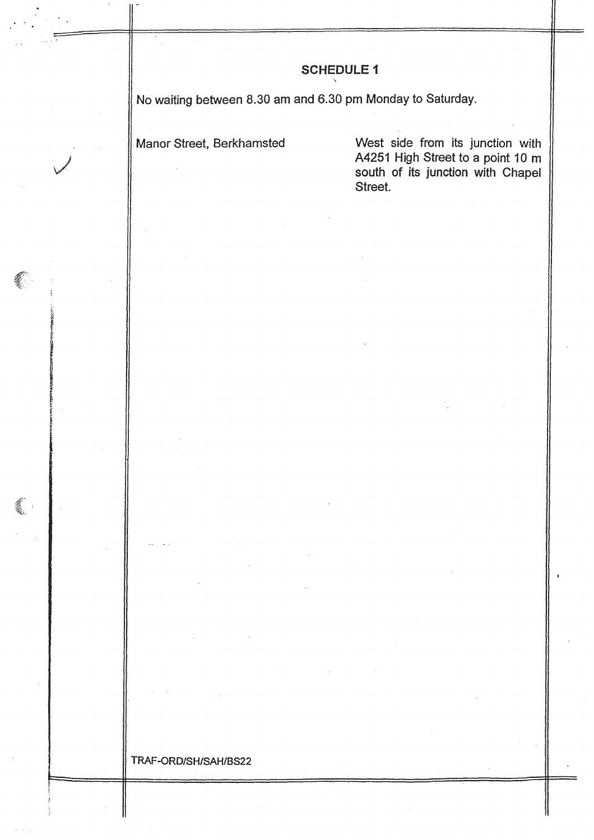# **SCHEDULE 1**

No waiting between 8.30 am and 6.30 pm Monday to Saturday.

Manor Street, Berkhamsted

€

West side from its junction with A4251 High Street to a point 10 m<br>south of its junction with Chapel Street.

### TRAF-ORD/SH/SAH/BS22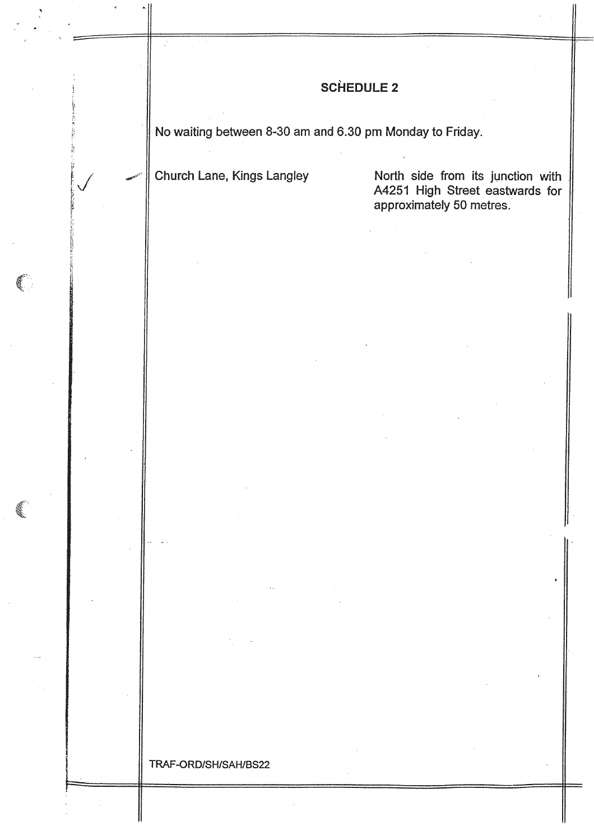|  | <b>SCHEDULE 2</b>                                        |                                                                                                  |  |
|--|----------------------------------------------------------|--------------------------------------------------------------------------------------------------|--|
|  | No waiting between 8-30 am and 6.30 pm Monday to Friday. |                                                                                                  |  |
|  | Church Lane, Kings Langley                               | North side from its junction with<br>A4251 High Street eastwards for<br>approximately 50 metres. |  |
|  |                                                          |                                                                                                  |  |
|  |                                                          |                                                                                                  |  |
|  |                                                          |                                                                                                  |  |
|  |                                                          |                                                                                                  |  |
|  |                                                          |                                                                                                  |  |
|  |                                                          |                                                                                                  |  |
|  |                                                          |                                                                                                  |  |
|  |                                                          |                                                                                                  |  |
|  |                                                          |                                                                                                  |  |
|  |                                                          |                                                                                                  |  |
|  |                                                          |                                                                                                  |  |
|  |                                                          |                                                                                                  |  |
|  | TRAF-ORD/SH/SAH/BS22                                     |                                                                                                  |  |

 $\bar{\beta}$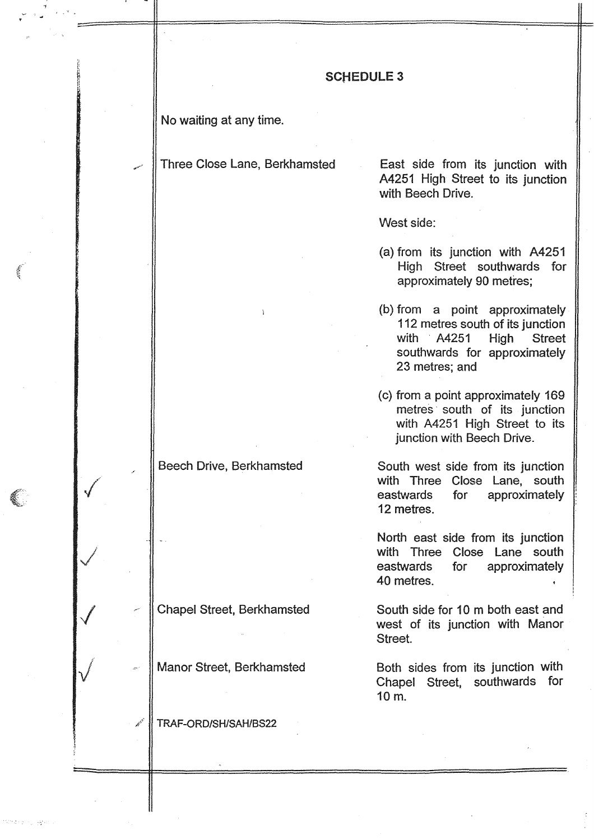## **SCHEDULE 3**

No waiting at any time.

Three Close Lane, Berkhamsted East side from its junction with

4251 High Street to its junction with Beech Drive.

West side:

- (a) from its junction with A4251 High Street southwards for approximately 90 metres;
- (b) from a point approximately 112 metres south of its junction<br>with A4251 High Street  $AA251$ southwards for approximately 23 metres; and
- (c) from a point approximately 169 metres ' south of its junction with A4251 High Street to its junction with Beech Drive.

Beech Drive, Berkhamsted South west side from its junction with Three Close Lane, south<br>eastwards for approximately approximately 12 metres.

> North east side from its junction with Three Close Lane south<br>eastwards for approximately approximately 40 metres.

Chapel Street, Berkhamsted South side for 10 m both east and west of its junction with Manor Street.

Manor Street, Berkhamsted **Both sides from its junction with** Chapel Street, southwards for <sup>10</sup> m.

TRAF-ORD/SH/SAH/BS22